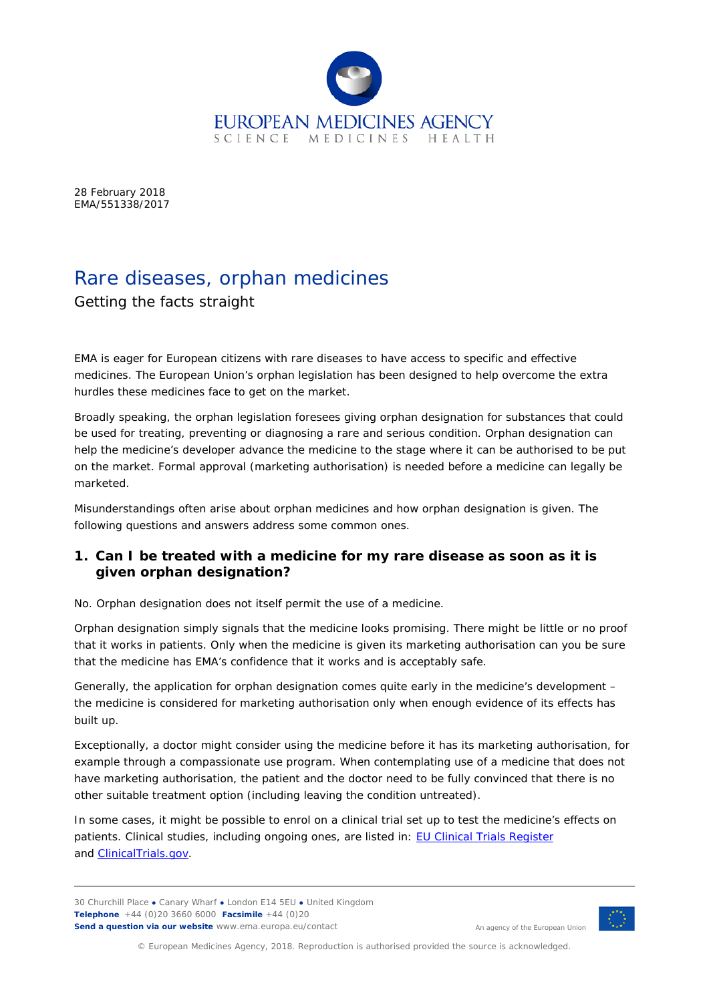

28 February 2018 EMA/551338/2017

# Rare diseases, orphan medicines

# Getting the facts straight

EMA is eager for European citizens with rare diseases to have access to specific and effective medicines. The European Union's orphan legislation has been designed to help overcome the extra hurdles these medicines face to get on the market.

Broadly speaking, the orphan legislation foresees giving orphan designation for substances that could be used for treating, preventing or diagnosing a rare and serious condition. Orphan designation can help the medicine's developer advance the medicine to the stage where it can be authorised to be put on the market. Formal approval (marketing authorisation) is needed before a medicine can legally be marketed.

Misunderstandings often arise about orphan medicines and how orphan designation is given. The following questions and answers address some common ones.

## *1. Can I be treated with a medicine for my rare disease as soon as it is given orphan designation?*

No. Orphan designation does not itself permit the use of a medicine.

Orphan designation simply signals that the medicine looks promising. There might be little or no proof that it works in patients. Only when the medicine is given its marketing authorisation can you be sure that the medicine has EMA's confidence that it works and is acceptably safe.

Generally, the application for orphan designation comes quite early in the medicine's development – the medicine is considered for marketing authorisation only when enough evidence of its effects has built up.

Exceptionally, a doctor might consider using the medicine before it has its marketing authorisation, for example through a compassionate use program. When contemplating use of a medicine that does not have marketing authorisation, the patient and the doctor need to be fully convinced that there is no other suitable treatment option (including leaving the condition untreated).

In some cases, it might be possible to enrol on a clinical trial set up to test the medicine's effects on patients. Clinical studies, including ongoing ones, are listed in: [EU Clinical Trials Register](https://www.clinicaltrialsregister.eu/ctr-search/search) and **ClinicalTrials.gov**.

30 Churchill Place **●** Canary Wharf **●** London E14 5EU **●** United Kingdom **Telephone** +44 (0)20 3660 6000 **Facsimile** +44 (0)20 **Send a question via our website** www.ema.europa.eu/contact



An agency of the European Union

© European Medicines Agency, 2018. Reproduction is authorised provided the source is acknowledged.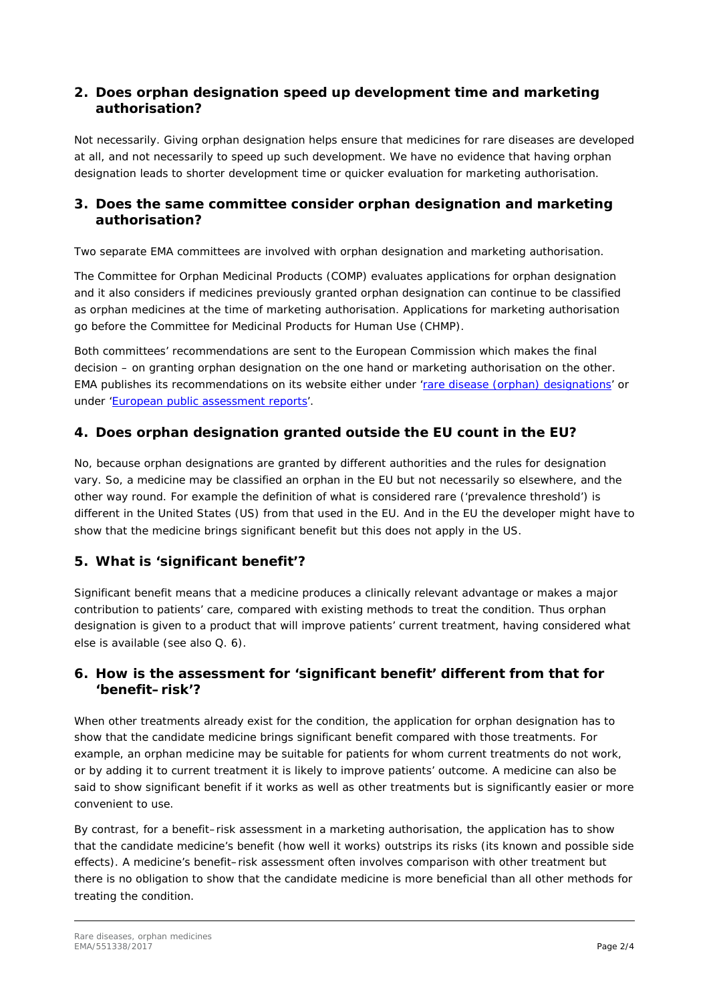#### *2. Does orphan designation speed up development time and marketing authorisation?*

Not necessarily. Giving orphan designation helps ensure that medicines for rare diseases are developed at all, and not necessarily to speed up such development. We have no evidence that having orphan designation leads to shorter development time or quicker evaluation for marketing authorisation.

## *3. Does the same committee consider orphan designation and marketing authorisation?*

Two separate EMA committees are involved with orphan designation and marketing authorisation.

The Committee for Orphan Medicinal Products (COMP) evaluates applications for orphan designation and it also considers if medicines previously granted orphan designation can continue to be classified as orphan medicines at the time of marketing authorisation. Applications for marketing authorisation go before the Committee for Medicinal Products for Human Use (CHMP).

Both committees' recommendations are sent to the European Commission which makes the final decision – on granting orphan designation on the one hand or marketing authorisation on the other. EMA publishes its recommendations on its website either under ['rare disease \(orphan\) designations'](http://www.ema.europa.eu/ema/index.jsp?curl=pages/medicines/landing/orphan_search.jsp&mid=WC0b01ac058001d12b) or under ['European public assessment reports'](http://www.ema.europa.eu/ema/index.jsp?curl=pages/medicines/landing/epar_search.jsp&mid=WC0b01ac058001d125).

# *4. Does orphan designation granted outside the EU count in the EU?*

No, because orphan designations are granted by different authorities and the rules for designation vary. So, a medicine may be classified an orphan in the EU but not necessarily so elsewhere, and the other way round. For example the definition of what is considered rare ('prevalence threshold') is different in the United States (US) from that used in the EU. And in the EU the developer might have to show that the medicine brings significant benefit but this does not apply in the US.

# *5. What is 'significant benefit'?*

Significant benefit means that a medicine produces a clinically relevant advantage or makes a major contribution to patients' care, compared with existing methods to treat the condition. Thus orphan designation is given to a product that will improve patients' current treatment, having considered what else is available (see also Q. 6).

## *6. How is the assessment for 'significant benefit' different from that for 'benefit–risk'?*

When other treatments already exist for the condition, the application for orphan designation has to show that the candidate medicine brings significant benefit compared with those treatments. For example, an orphan medicine may be suitable for patients for whom current treatments do not work, or by adding it to current treatment it is likely to improve patients' outcome. A medicine can also be said to show significant benefit if it works as well as other treatments but is significantly easier or more convenient to use.

By contrast, for a benefit–risk assessment in a marketing authorisation, the application has to show that the candidate medicine's benefit (how well it works) outstrips its risks (its known and possible side effects). A medicine's benefit–risk assessment often involves comparison with other treatment but there is no obligation to show that the candidate medicine is more beneficial than all other methods for treating the condition.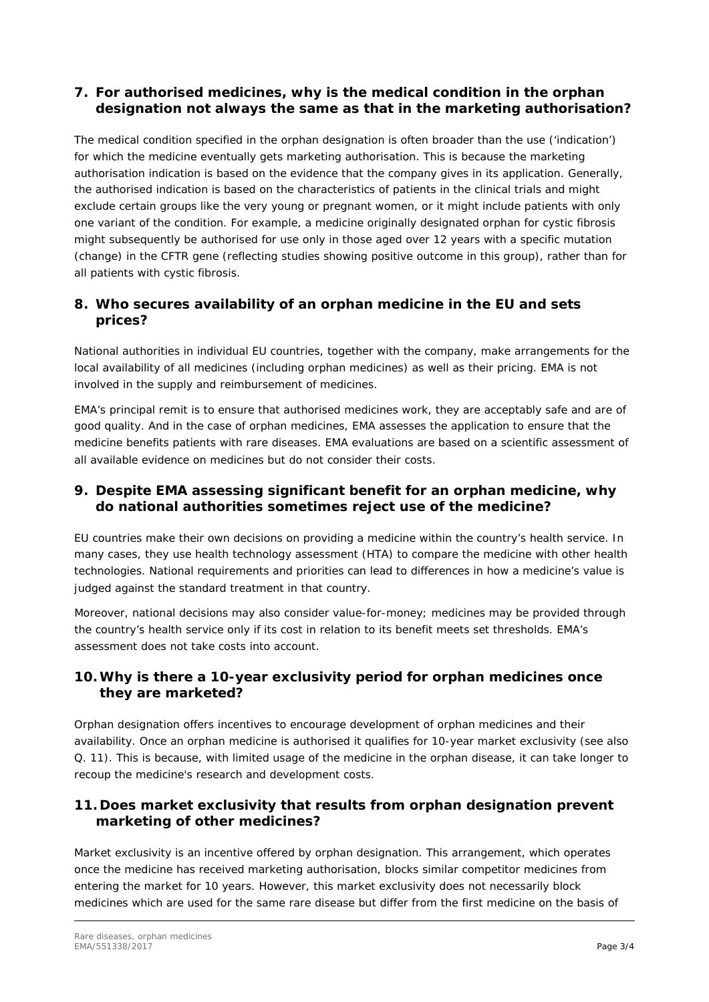#### *7. For authorised medicines, why is the medical condition in the orphan designation not always the same as that in the marketing authorisation?*

The medical condition specified in the orphan designation is often broader than the use ('indication') for which the medicine eventually gets marketing authorisation. This is because the marketing authorisation indication is based on the evidence that the company gives in its application. Generally, the authorised indication is based on the characteristics of patients in the clinical trials and might exclude certain groups like the very young or pregnant women, or it might include patients with only one variant of the condition. For example, a medicine originally designated orphan for cystic fibrosis might subsequently be authorised for use only in those aged over 12 years with a specific mutation (change) in the CFTR gene (reflecting studies showing positive outcome in this group), rather than for all patients with cystic fibrosis.

## *8. Who secures availability of an orphan medicine in the EU and sets prices?*

National authorities in individual EU countries, together with the company, make arrangements for the local availability of all medicines (including orphan medicines) as well as their pricing. EMA is not involved in the supply and reimbursement of medicines.

EMA's principal remit is to ensure that authorised medicines work, they are acceptably safe and are of good quality. And in the case of orphan medicines, EMA assesses the application to ensure that the medicine benefits patients with rare diseases. EMA evaluations are based on a scientific assessment of all available evidence on medicines but do not consider their costs.

## *9. Despite EMA assessing significant benefit for an orphan medicine, why do national authorities sometimes reject use of the medicine?*

EU countries make their own decisions on providing a medicine within the country's health service. In many cases, they use health technology assessment (HTA) to compare the medicine with other health technologies. National requirements and priorities can lead to differences in how a medicine's value is judged against the standard treatment in that country.

Moreover, national decisions may also consider value-for-money; medicines may be provided through the country's health service only if its cost in relation to its benefit meets set thresholds. EMA's assessment does not take costs into account.

## *10.Why is there a 10-year exclusivity period for orphan medicines once they are marketed?*

Orphan designation offers incentives to encourage development of orphan medicines and their availability. Once an orphan medicine is authorised it qualifies for 10-year market exclusivity (see also Q. 11). This is because, with limited usage of the medicine in the orphan disease, it can take longer to recoup the medicine's research and development costs.

## *11. Does market exclusivity that results from orphan designation prevent marketing of other medicines?*

Market exclusivity is an incentive offered by orphan designation. This arrangement, which operates once the medicine has received marketing authorisation, blocks similar competitor medicines from entering the market for 10 years. However, this market exclusivity does not necessarily block medicines which are used for the same rare disease but differ from the first medicine on the basis of